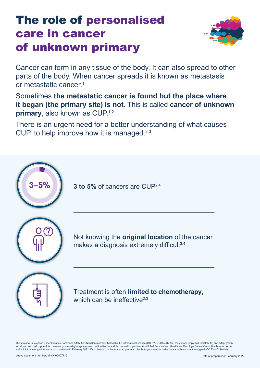# The role of personalised care in cancer of unknown primary



Cancer can form in any tissue of the body. It can also spread to other parts of the body. When cancer spreads it is known as metastasis or metastatic cancer<sup>1</sup>

Sometimes **the metastatic cancer is found but the place where it began (the primary site) is not**. This is called **cancer of unknown primary**, also known as CUP.<sup>1,2</sup>

There is an urgent need for a better understanding of what causes CUP, to help improve how it is managed.<sup>2,3</sup>

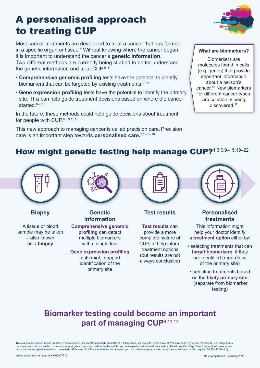## A personalised approach to treating CUP

Most cancer treatments are developed to treat a cancer that has formed in a specific organ or tissue.<sup>5</sup> Without knowing where the cancer began, it is important to understand the cancer's **genetic information.**<sup>3</sup> Two different methods are currently being studied to better understand the genetic information and treat CUP.6-11

- **Comprehensive genomic profiling** tests have the potential to identify biomarkers that can be targeted by existing treatments. 9–15
- **Gene expression profiling** tests have the potential to identify the primary site. This can help guide treatment decisions based on where the cancer started. 6–8,15

In the future, these methods could help guide decisions about treatment for people with CUP.<sup>6,8,9,11,15</sup>

This new approach to managing cancer is called precision care.Precision care is an important step towards **personalised care.**3,12,17,18



#### **What are biomarkers?**

Biomarkers are molecules found in cells (e.g. genes) that provide important information about a person's cancer.16 New biomarkers for different cancer types are constantly being discovered.<sup>17</sup>

### How might genetic testing help manage CUP?1,3,6,9-15,19-22



**Biopsy**

A tissue or blood sample may be taken – also known as a **biopsy**



**Genetic information Comprehensive genomic** 

**profiling** can detect multiple biomarkers with a single test

**Gene expression profiling** tests might support identification of the primary site



**Test results**

**Test results** can provide a more complete picture of CUP, to help inform treatment options (but results are not always conclusive)



#### **Personalised treatments**

This information might help your doctor identify a **treatment option** either by:

- selecting treatments that can **target biomarkers**, if they are identified (regardless of the primary site)
- selecting treatments based on the **likely primary site** (separate from biomarker testing)

### **Biomarker testing could become an important part of managing CUP**9,11,14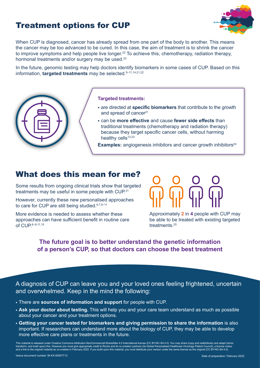### Treatment options for CUP



When CUP is diagnosed, cancer has already spread from one part of the body to another. This means the cancer may be too advanced to be cured. In this case, the aim of treatment is to shrink the cancer to improve symptoms and help people live longer.<sup>22</sup> To achieve this, chemotherapy, radiation therapy, hormonal treatments and/or surgery may be used.<sup>22</sup>

In the future, genomic testing may help doctors identify biomarkers in some cases of CUP. Based on this information, **targeted treatments** may be selected.9–11,14,21,22



#### **Targeted treatments:**

- are directed at **specific biomarkers** that contribute to the growth and spread of cancer<sup>21</sup>
- can be **more effective** and cause **fewer side effects** than traditional treatments (chemotherapy and radiation therapy) because they target specific cancer cells, without harming healthy cells<sup>12,23</sup>

**Examples:** angiogenesis inhibitors and cancer growth inhibitors<sup>24</sup>

#### What does this mean for me?

Some results from ongoing clinical trials show that targeted treatments may be useful in some people with CUP.21

However, currently these new personalised approaches to care for CUP are still being studied. 6,7,9-11

More evidence is needed to assess whether these approaches can have sufficient benefit in routine care of CUP.6–9,11,15

Approximately **2** in **4** people with CUP may be able to be treated with existing targeted treatments.25

#### **The future goal is to better understand the genetic information of a person's CUP, so that doctors can choose the best treatment**

A diagnosis of CUP can leave you and your loved ones feeling frightened, uncertain and overwhelmed. Keep in the mind the following:

- There are **sources of information and support** for people with CUP.
- **Ask your doctor about testing.** This will help you and your care team understand as much as possible about your cancer and your treatment options.
- **Getting your cancer tested for biomarkers and giving permission to share the information** is also important. If researchers can understand more about the biology of CUP, they may be able to develop more effective care plans or treatments in the future.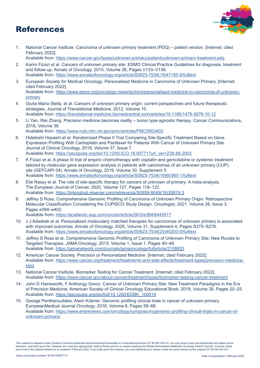### References



1. National Cancer Institute. Carcinoma of unknown primary treatment (PDQ) – patient version. [Internet; cited February 2022].

Available from: <https://www.cancer.gov/types/unknown-primary/patient/unknown-primary-treatment-pdq>

- 2. Karim Fizazi et al. Cancers of unknown primary site: ESMO Clinical Practice Guidelines for diagnosis, treatment and follow-up. Annals of Oncology, 2015, Volume 26, Pages V133–V138. Available from: [https://www.annalsofoncology.org/article/S0923-7534\(19\)47185-8/fulltext](https://www.annalsofoncology.org/article/S0923-7534(19)47185-8/fulltext)
- 3. European Society for Medical Oncology. Personalised Medicine in Carcinoma of Unknown Primary. [Internet; cited February 2022]. Available from: [https://www.esmo.org/oncology-news/archive/personalised-medicine-in-carcinoma-of-unknown](https://www.esmo.org/oncology-news/archive/personalised-medicine-in-carcinoma-of-unknown-primary)[primary](https://www.esmo.org/oncology-news/archive/personalised-medicine-in-carcinoma-of-unknown-primary)
- 4. Giulia Maria Stella, et al. Cancers of unknown primary origin: current perspectives and future therapeutic strategies, Journal of Translational Medicine, 2012, Volume 10. Available from: <https://translational-medicine.biomedcentral.com/articles/10.1186/1479-5876-10-12>
- 5. Li Yan, Wei Zhang. Precision medicine becomes reality tumor type-agnostic therapy. Cancer Communications, 2018, Volume 38. Available from: <https://www.ncbi.nlm.nih.gov/pmc/articles/PMC5953403>
- 6. Hidetoshi Hayashi et al. Randomized Phase II Trial Comparing Site-Specific Treatment Based on Gene Expression Profiling With Carboplatin and Paclitaxel for Patients With Cancer of Unknown Primary Site. Journal of Clinical Oncology, 2019, Volume 37, Issue 7. Available from: [https://ascopubs.org/doi/10.1200/JCO.18.00771?url\\_ver=Z39.88-2003](https://ascopubs.org/doi/10.1200/JCO.18.00771?url_ver=Z39.88-2003)
- 7. K Fizazi et al. A phase III trial of empiric chemotherapy with cisplatin and gemcitabine or systemic treatment tailored by molecular gene expression analysis in patients with carcinomas of an unknown primary (CUP) site (GEFCAPI 04). Annals of Oncology, 2019, Volume 30, Supplement 5. Available from: [https://www.annalsofoncology.org/article/S0923-7534\(19\)60360-1/fulltext](https://www.annalsofoncology.org/article/S0923-7534(19)60360-1/fulltext)
- 8. Elie Rassy et al. The role of site-specific therapy for cancers of unknown of primary: A meta-analysis. The European Journal of Cancer, 2020, Volume 127, Pages 118–122. Available from: [https://linkinghub.elsevier.com/retrieve/pii/S0959-8049\(19\)30874-3](https://linkinghub.elsevier.com/retrieve/pii/S0959-8049(19)30874-3)
- 9. Jeffrey S Ross. Comprehensive Genomic Profiling of Carcinoma of Unknown Primary Origin: Retrospective Molecular Classification Considering the CUPISCO Study Design. Oncologist, 2021, Volume 26, Issue 3, Pages e394–e402.

Available from: <https://academic.oup.com/oncolo/article/26/3/e394/6445517>

- 10. J J Adashek et al. Personalized molecularly matched therapies for carcinomas of unknown primary is associated with improved outcomes. Annals of Oncology, 2020, Volume 31, Supplement 4, Pages S275–S276. Available from: [https://www.annalsofoncology.org/article/S0923-7534\(20\)40203-0/fulltext](https://www.annalsofoncology.org/article/S0923-7534(20)40203-0/fulltext)
- 11. Jeffrey S Ross et al. Comprehensive Genomic Profiling of Carcinoma of Unknown Primary Site: New Routes to Targeted Therapies. JAMA Oncology, 2015, Volume 1, Issue 1, Pages 40–49. Available from: <https://jamanetwork.com/journals/jamaoncology/fullarticle/2108853>
- 12. American Cancer Society. Precision or Personalized Medicine. [Internet; cited February 2022]. Available from: [https://www.cancer.org/treatment/treatments-and-side-effects/treatment-types/precision-medicine.](https://www.cancer.org/treatment/treatments-and-side-effects/treatment-types/precision-medicine.html) [html](https://www.cancer.org/treatment/treatments-and-side-effects/treatment-types/precision-medicine.html)
- 13. National Cancer Institute. Biomarker Testing for Cancer Treatment. [Internet; cited February 2022]. Available from: <https://www.cancer.gov/about-cancer/treatment/types/biomarker-testing-cancer-treatment>
- 14. John D Hainsworth, F Anthongy Greco. Cancer of Unknown Primary Site: New Treatment Paradigms in the Era of Precision Medicine. American Society of Clinical Oncology Educational Book, 2018, Volume 38, Pages 20–25. Available from: [https://ascopubs.org/doi/full/10.1200/EDBK\\_100014](https://ascopubs.org/doi/full/10.1200/EDBK_100014)
- 15. George Pentheroudakis, Alwin Krämer. Genomic profiling clinical trials in cancer of unknown primary. EuropeanMedical Journal Oncology, 2018, Volume 6, Pages 58–66. Available from: https://www.emjreviews.com/oncology/symposium/genomic-profiling-clinical-trials-in-cancer-ofunknown-primary/